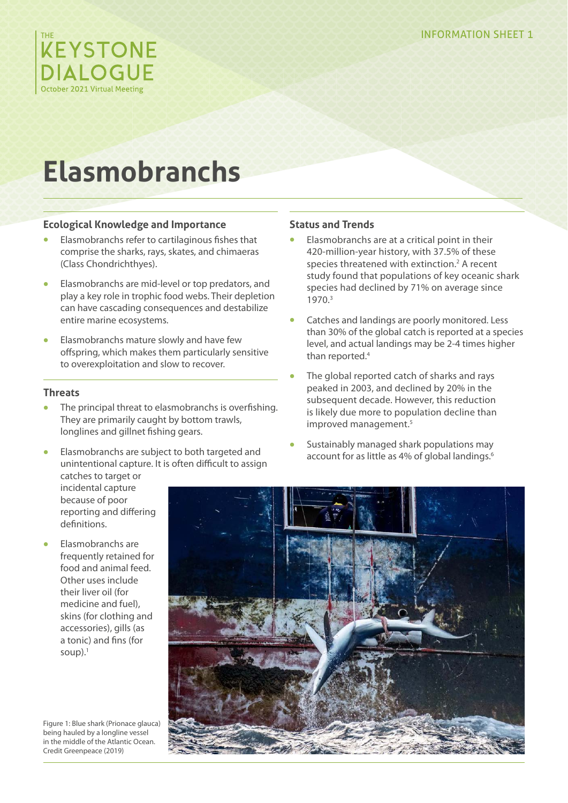

# **Elasmobranchs**

# **Ecological Knowledge and Importance**

- **•** Elasmobranchs refer to cartilaginous fishes that comprise the sharks, rays, skates, and chimaeras (Class Chondrichthyes).
- **•** Elasmobranchs are mid-level or top predators, and play a key role in trophic food webs. Their depletion can have cascading consequences and destabilize entire marine ecosystems.
- **•** Elasmobranchs mature slowly and have few offspring, which makes them particularly sensitive to overexploitation and slow to recover.

# **Threats**

- **•** The principal threat to elasmobranchs is overfishing. They are primarily caught by bottom trawls, longlines and gillnet fishing gears.
- **•** Elasmobranchs are subject to both targeted and unintentional capture. It is often difficult to assign

### **Status and Trends**

- **•** Elasmobranchs are at a critical point in their 420-million-year history, with 37.5% of these species threatened with extinction.<sup>2</sup> A recent study found that populations of key oceanic shark species had declined by 71% on average since 1970.3
- **•** Catches and landings are poorly monitored. Less than 30% of the global catch is reported at a species level, and actual landings may be 2-4 times higher than reported.<sup>4</sup>
- **•** The global reported catch of sharks and rays peaked in 2003, and declined by 20% in the subsequent decade. However, this reduction is likely due more to population decline than improved management.<sup>5</sup>
- **•** Sustainably managed shark populations may account for as little as 4% of global landings.<sup>6</sup>

catches to target or incidental capture because of poor reporting and differing definitions.

**•** Elasmobranchs are frequently retained for food and animal feed. Other uses include their liver oil (for medicine and fuel), skins (for clothing and accessories), gills (as a tonic) and fins (for soup $).<sup>1</sup>$ 

Figure 1: Blue shark (Prionace glauca) being hauled by a longline vessel in the middle of the Atlantic Ocean. Credit Greenpeace (2019)